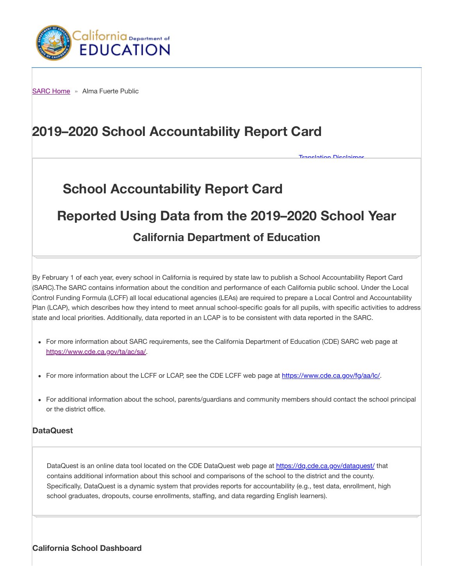

SARC Home » Alma Fuerte Public

# 2019–2020 School Accountability Report Card

# School Accountability Report Card

# Reported Using Data from the 2019–2020 School Year

**Alatian Disclair** 

# California Department of Education

By February 1 of each year, every school in California is required by state law to publish a School Accountability Report Card (SARC).The SARC contains information about the condition and performance of each California public school. Under the Local Control Funding Formula (LCFF) all local educational agencies (LEAs) are required to prepare a Local Control and Accountability Plan (LCAP), which describes how they intend to meet annual school-specific goals for all pupils, with specific activities to address state and local priorities. Additionally, data reported in an LCAP is to be consistent with data reported in the SARC.

- For more information about SARC requirements, see the California Department of Education (CDE) SARC web page at https://www.cde.ca.gov/ta/ac/sa/.
- For more information about the LCFF or LCAP, see the CDE LCFF web page at https://www.cde.ca.gov/fg/aa/lc/.
- For additional information about the school, parents/guardians and community members should contact the school principal or the district office.

#### **DataQuest**

DataQuest is an online data tool located on the CDE DataQuest web page at https://dq.cde.ca.gov/dataquest/ that contains additional information about this school and comparisons of the school to the district and the county. Specifically, DataQuest is a dynamic system that provides reports for accountability (e.g., test data, enrollment, high school graduates, dropouts, course enrollments, staffing, and data regarding English learners).

California School Dashboard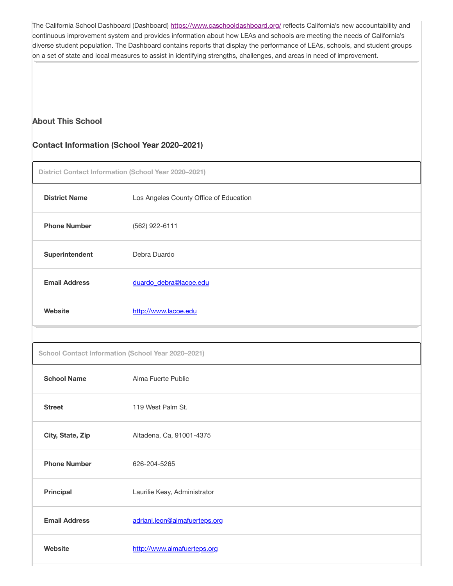The California School Dashboard (Dashboard) https://www.caschooldashboard.org/ reflects California's new accountability and continuous improvement system and provides information about how LEAs and schools are meeting the needs of California's diverse student population. The Dashboard contains reports that display the performance of LEAs, schools, and student groups on a set of state and local measures to assist in identifying strengths, challenges, and areas in need of improvement.

### About This School

#### Contact Information (School Year 2020–2021)

District Contact Information (School Year 2020–2021)

| <b>District Name</b>                               | Los Angeles County Office of Education |  |  |  |  |  |  |
|----------------------------------------------------|----------------------------------------|--|--|--|--|--|--|
| <b>Phone Number</b>                                | (562) 922-6111                         |  |  |  |  |  |  |
| Superintendent                                     | Debra Duardo                           |  |  |  |  |  |  |
| <b>Email Address</b>                               | duardo debra@lacoe.edu                 |  |  |  |  |  |  |
| <b>Website</b>                                     | http://www.lacoe.edu                   |  |  |  |  |  |  |
|                                                    |                                        |  |  |  |  |  |  |
| School Contact Information (School Year 2020-2021) |                                        |  |  |  |  |  |  |
| <b>School Name</b>                                 | Alma Fuerte Public                     |  |  |  |  |  |  |
| <b>Street</b>                                      | 119 West Palm St.                      |  |  |  |  |  |  |
| City, State, Zip                                   | Altadena, Ca, 91001-4375               |  |  |  |  |  |  |
| <b>Phone Number</b>                                | 626-204-5265                           |  |  |  |  |  |  |
| Principal                                          | Laurilie Keay, Administrator           |  |  |  |  |  |  |
| <b>Email Address</b>                               | adriani.leon@almafuerteps.org          |  |  |  |  |  |  |
| Website                                            | http://www.almafuerteps.org            |  |  |  |  |  |  |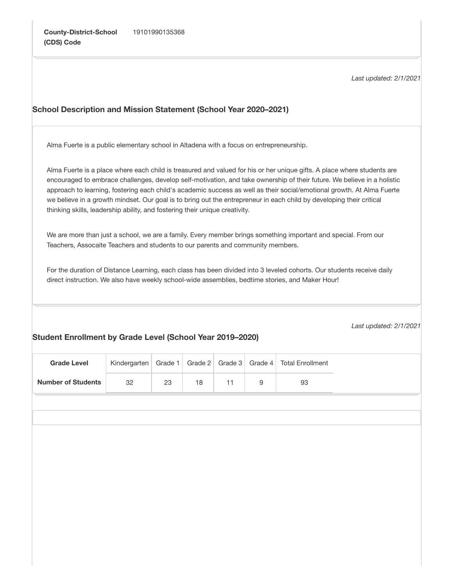Number of Students

32

23

18

11

9

93

Last updated: 2/1/2021

# Last updated: 2/1/2021 School Description and Mission Statement (School Year 2020–2021) Student Enrollment by Grade Level (School Year 2019–2020) Alma Fuerte is a public elementary school in Altadena with a focus on entrepreneurship. Alma Fuerte is a place where each child is treasured and valued for his or her unique gifts. A place where students are encouraged to embrace challenges, develop self-motivation, and take ownership of their future. We believe in a holistic approach to learning, fostering each child's academic success as well as their social/emotional growth. At Alma Fuerte we believe in a growth mindset. Our goal is to bring out the entrepreneur in each child by developing their critical thinking skills, leadership ability, and fostering their unique creativity. We are more than just a school, we are a family. Every member brings something important and special. From our Teachers, Assocaite Teachers and students to our parents and community members. For the duration of Distance Learning, each class has been divided into 3 leveled cohorts. Our students receive daily direct instruction. We also have weekly school-wide assemblies, bedtime stories, and Maker Hour! Grade Level Kindergarten Grade 1 Grade 2 Grade 3 Grade 4 Total Enrollment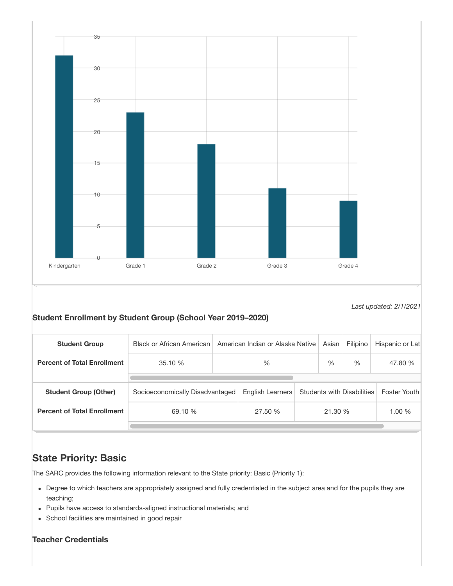

Last updated: 2/1/2021

### Student Enrollment by Student Group (School Year 2019–2020)

| <b>Student Group</b>               | <b>Black or African American</b> |      | American Indian or Alaska Native | Asian                             | Filipino | Hispanic or Lat |              |
|------------------------------------|----------------------------------|------|----------------------------------|-----------------------------------|----------|-----------------|--------------|
| <b>Percent of Total Enrollment</b> | 35.10 %                          | $\%$ |                                  |                                   | $\%$     | $\%$            | 47.80 %      |
|                                    |                                  |      |                                  |                                   |          |                 |              |
| <b>Student Group (Other)</b>       | Socioeconomically Disadvantaged  |      | English Learners                 | <b>Students with Disabilities</b> |          |                 | Foster Youth |
| <b>Percent of Total Enrollment</b> | 69.10 %                          |      | 27.50 %                          |                                   |          | 21.30 %         | 1.00 %       |
|                                    |                                  |      |                                  |                                   |          |                 |              |

# State Priority: Basic

The SARC provides the following information relevant to the State priority: Basic (Priority 1):

- Degree to which teachers are appropriately assigned and fully credentialed in the subject area and for the pupils they are teaching;
- Pupils have access to standards-aligned instructional materials; and
- School facilities are maintained in good repair

### Teacher Credentials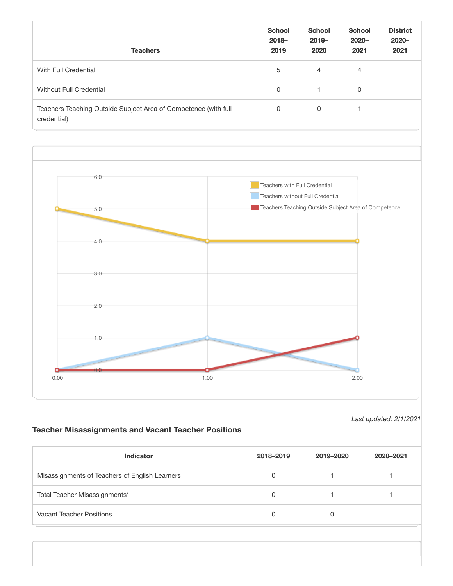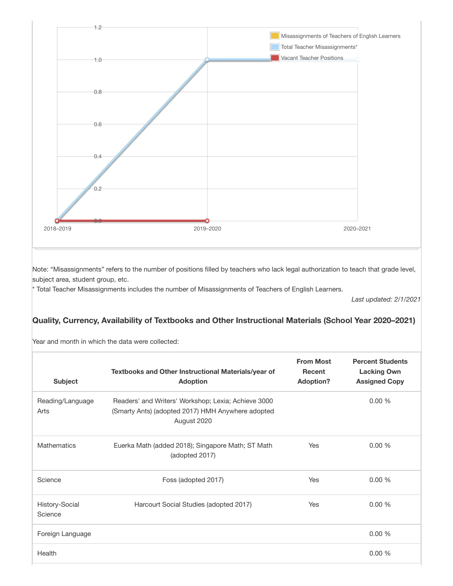

Note: "Misassignments" refers to the number of positions filled by teachers who lack legal authorization to teach that grade level, subject area, student group, etc.

\* Total Teacher Misassignments includes the number of Misassignments of Teachers of English Learners.

Last updated: 2/1/2021

### Quality, Currency, Availability of Textbooks and Other Instructional Materials (School Year 2020–2021)

Year and month in which the data were collected:

| <b>Subject</b>            | Textbooks and Other Instructional Materials/year of<br><b>Adoption</b>                                                  | <b>From Most</b><br>Recent<br><b>Adoption?</b> | <b>Percent Students</b><br><b>Lacking Own</b><br><b>Assigned Copy</b> |
|---------------------------|-------------------------------------------------------------------------------------------------------------------------|------------------------------------------------|-----------------------------------------------------------------------|
| Reading/Language<br>Arts  | Readers' and Writers' Workshop; Lexia; Achieve 3000<br>(Smarty Ants) (adopted 2017) HMH Anywhere adopted<br>August 2020 |                                                | 0.00%                                                                 |
| <b>Mathematics</b>        | Euerka Math (added 2018); Singapore Math; ST Math<br>(adopted 2017)                                                     | Yes                                            | 0.00%                                                                 |
| Science                   | Foss (adopted 2017)                                                                                                     | Yes                                            | 0.00%                                                                 |
| History-Social<br>Science | Harcourt Social Studies (adopted 2017)                                                                                  | Yes                                            | 0.00%                                                                 |
| Foreign Language          |                                                                                                                         |                                                | 0.00%                                                                 |
| Health                    |                                                                                                                         |                                                | 0.00%                                                                 |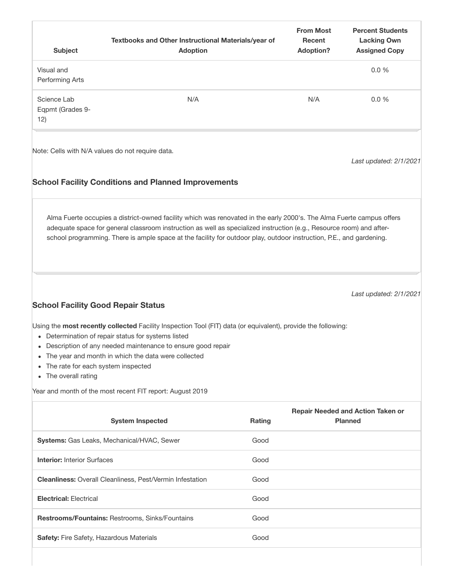| <b>Subject</b>                                                                     | Textbooks and Other Instructional Materials/year of<br><b>Adoption</b>                                                                                                                                                                                                                                                                                                |        | <b>From Most</b><br><b>Recent</b><br><b>Adoption?</b> | <b>Percent Students</b><br><b>Lacking Own</b><br><b>Assigned Copy</b> |
|------------------------------------------------------------------------------------|-----------------------------------------------------------------------------------------------------------------------------------------------------------------------------------------------------------------------------------------------------------------------------------------------------------------------------------------------------------------------|--------|-------------------------------------------------------|-----------------------------------------------------------------------|
| Visual and<br>Performing Arts                                                      |                                                                                                                                                                                                                                                                                                                                                                       |        |                                                       | 0.0%                                                                  |
| Science Lab<br>Eqpmt (Grades 9-<br>12)                                             | N/A                                                                                                                                                                                                                                                                                                                                                                   |        | N/A                                                   | 0.0%                                                                  |
|                                                                                    | Note: Cells with N/A values do not require data.<br><b>School Facility Conditions and Planned Improvements</b>                                                                                                                                                                                                                                                        |        |                                                       | Last updated: 2/1/2021                                                |
|                                                                                    | Alma Fuerte occupies a district-owned facility which was renovated in the early 2000's. The Alma Fuerte campus offers<br>adequate space for general classroom instruction as well as specialized instruction (e.g., Resource room) and after-<br>school programming. There is ample space at the facility for outdoor play, outdoor instruction, P.E., and gardening. |        |                                                       |                                                                       |
| <b>School Facility Good Repair Status</b>                                          |                                                                                                                                                                                                                                                                                                                                                                       |        |                                                       | Last updated: 2/1/2021                                                |
| $\bullet$<br>The rate for each system inspected<br>The overall rating<br>$\bullet$ | Using the most recently collected Facility Inspection Tool (FIT) data (or equivalent), provide the following:<br>• Determination of repair status for systems listed<br>Description of any needed maintenance to ensure good repair<br>The year and month in which the data were collected                                                                            |        |                                                       |                                                                       |
|                                                                                    | Year and month of the most recent FIT report: August 2019                                                                                                                                                                                                                                                                                                             |        |                                                       |                                                                       |
|                                                                                    | <b>System Inspected</b>                                                                                                                                                                                                                                                                                                                                               | Rating |                                                       | <b>Repair Needed and Action Taken or</b><br><b>Planned</b>            |
|                                                                                    | Systems: Gas Leaks, Mechanical/HVAC, Sewer                                                                                                                                                                                                                                                                                                                            | Good   |                                                       |                                                                       |
| <b>Interior: Interior Surfaces</b>                                                 |                                                                                                                                                                                                                                                                                                                                                                       | Good   |                                                       |                                                                       |
|                                                                                    | Cleanliness: Overall Cleanliness, Pest/Vermin Infestation                                                                                                                                                                                                                                                                                                             | Good   |                                                       |                                                                       |
| <b>Electrical: Electrical</b>                                                      |                                                                                                                                                                                                                                                                                                                                                                       | Good   |                                                       |                                                                       |
|                                                                                    | Restrooms/Fountains: Restrooms, Sinks/Fountains                                                                                                                                                                                                                                                                                                                       | Good   |                                                       |                                                                       |
| Safety: Fire Safety, Hazardous Materials                                           |                                                                                                                                                                                                                                                                                                                                                                       | Good   |                                                       |                                                                       |
|                                                                                    |                                                                                                                                                                                                                                                                                                                                                                       |        |                                                       |                                                                       |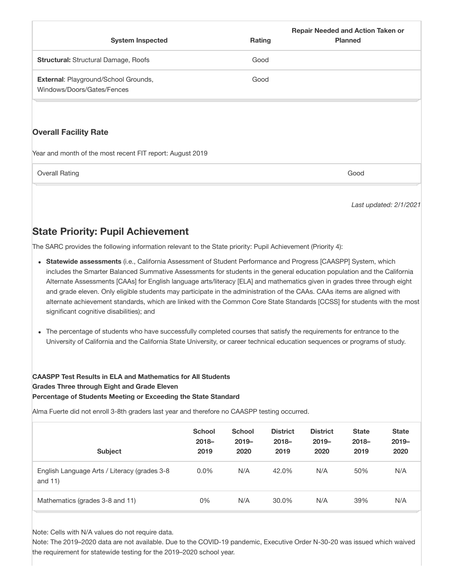| <b>System Inspected</b>                                                   | Rating | <b>Repair Needed and Action Taken or</b><br><b>Planned</b> |
|---------------------------------------------------------------------------|--------|------------------------------------------------------------|
| <b>Structural: Structural Damage, Roofs</b>                               | Good   |                                                            |
| <b>External: Playground/School Grounds,</b><br>Windows/Doors/Gates/Fences | Good   |                                                            |
| <b>Overall Facility Rate</b>                                              |        |                                                            |

Year and month of the most recent FIT report: August 2019

**Overall Rating Good** Good Communication Communication Communication Communication Communication Communication Communication Communication Communication Communication Communication Communication Communication Communication

Last updated: 2/1/2021

# State Priority: Pupil Achievement

The SARC provides the following information relevant to the State priority: Pupil Achievement (Priority 4):

- Statewide assessments (i.e., California Assessment of Student Performance and Progress [CAASPP] System, which includes the Smarter Balanced Summative Assessments for students in the general education population and the California Alternate Assessments [CAAs] for English language arts/literacy [ELA] and mathematics given in grades three through eight and grade eleven. Only eligible students may participate in the administration of the CAAs. CAAs items are aligned with alternate achievement standards, which are linked with the Common Core State Standards [CCSS] for students with the most significant cognitive disabilities); and
- The percentage of students who have successfully completed courses that satisfy the requirements for entrance to the University of California and the California State University, or career technical education sequences or programs of study.

#### CAASPP Test Results in ELA and Mathematics for All Students Grades Three through Eight and Grade Eleven Percentage of Students Meeting or Exceeding the State Standard

Alma Fuerte did not enroll 3-8th graders last year and therefore no CAASPP testing occurred.

| <b>Subject</b>                                             | <b>School</b><br>$2018 -$<br>2019 | <b>School</b><br>$2019 -$<br>2020 | <b>District</b><br>$2018 -$<br>2019 | <b>District</b><br>$2019 -$<br>2020 | <b>State</b><br>$2018 -$<br>2019 | <b>State</b><br>$2019 -$<br>2020 |
|------------------------------------------------------------|-----------------------------------|-----------------------------------|-------------------------------------|-------------------------------------|----------------------------------|----------------------------------|
| English Language Arts / Literacy (grades 3-8<br>and $11$ ) | $0.0\%$                           | N/A                               | 42.0%                               | N/A                                 | 50%                              | N/A                              |
| Mathematics (grades 3-8 and 11)                            | 0%                                | N/A                               | 30.0%                               | N/A                                 | 39%                              | N/A                              |

Note: Cells with N/A values do not require data.

Note: The 2019–2020 data are not available. Due to the COVID-19 pandemic, Executive Order N-30-20 was issued which waived the requirement for statewide testing for the 2019–2020 school year.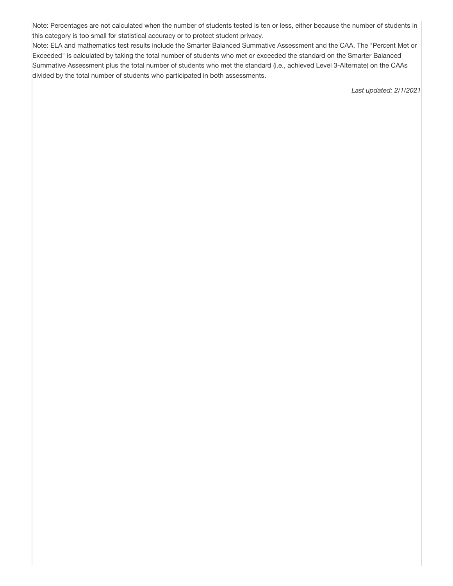Note: Percentages are not calculated when the number of students tested is ten or less, either because the number of students in this category is too small for statistical accuracy or to protect student privacy.

Note: ELA and mathematics test results include the Smarter Balanced Summative Assessment and the CAA. The "Percent Met or Exceeded" is calculated by taking the total number of students who met or exceeded the standard on the Smarter Balanced Summative Assessment plus the total number of students who met the standard (i.e., achieved Level 3-Alternate) on the CAAs divided by the total number of students who participated in both assessments.

Last updated: 2/1/2021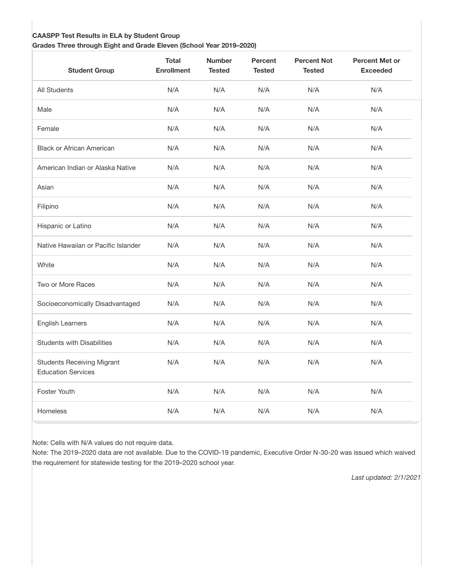#### CAASPP Test Results in ELA by Student Group

Grades Three through Eight and Grade Eleven (School Year 2019–2020)

| <b>Student Group</b>                                           | <b>Total</b><br><b>Enrollment</b> | <b>Number</b><br><b>Tested</b> | <b>Percent</b><br><b>Tested</b> | <b>Percent Not</b><br><b>Tested</b> | <b>Percent Met or</b><br><b>Exceeded</b> |
|----------------------------------------------------------------|-----------------------------------|--------------------------------|---------------------------------|-------------------------------------|------------------------------------------|
| All Students                                                   | N/A                               | N/A                            | N/A                             | N/A                                 | N/A                                      |
| Male                                                           | N/A                               | N/A                            | N/A                             | N/A                                 | N/A                                      |
| Female                                                         | N/A                               | N/A                            | N/A                             | N/A                                 | N/A                                      |
| <b>Black or African American</b>                               | N/A                               | N/A                            | N/A                             | N/A                                 | N/A                                      |
| American Indian or Alaska Native                               | N/A                               | N/A                            | N/A                             | N/A                                 | N/A                                      |
| Asian                                                          | N/A                               | N/A                            | N/A                             | N/A                                 | N/A                                      |
| Filipino                                                       | N/A                               | N/A                            | N/A                             | N/A                                 | N/A                                      |
| Hispanic or Latino                                             | N/A                               | N/A                            | N/A                             | N/A                                 | N/A                                      |
| Native Hawaiian or Pacific Islander                            | N/A                               | N/A                            | N/A                             | N/A                                 | N/A                                      |
| White                                                          | N/A                               | N/A                            | N/A                             | N/A                                 | N/A                                      |
| Two or More Races                                              | N/A                               | N/A                            | N/A                             | N/A                                 | N/A                                      |
| Socioeconomically Disadvantaged                                | N/A                               | N/A                            | N/A                             | N/A                                 | N/A                                      |
| <b>English Learners</b>                                        | N/A                               | N/A                            | N/A                             | N/A                                 | N/A                                      |
| <b>Students with Disabilities</b>                              | N/A                               | N/A                            | N/A                             | N/A                                 | N/A                                      |
| <b>Students Receiving Migrant</b><br><b>Education Services</b> | N/A                               | N/A                            | N/A                             | N/A                                 | N/A                                      |
| Foster Youth                                                   | N/A                               | N/A                            | N/A                             | N/A                                 | N/A                                      |
| <b>Homeless</b>                                                | N/A                               | N/A                            | N/A                             | N/A                                 | N/A                                      |

Note: Cells with N/A values do not require data.

Note: The 2019–2020 data are not available. Due to the COVID-19 pandemic, Executive Order N-30-20 was issued which waived the requirement for statewide testing for the 2019–2020 school year.

Last updated: 2/1/2021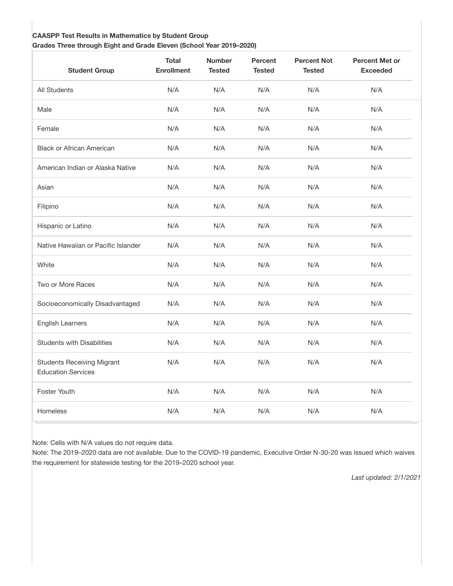#### CAASPP Test Results in Mathematics by Student Group

Grades Three through Eight and Grade Eleven (School Year 2019–2020)

| <b>Student Group</b>                                           | <b>Total</b><br><b>Enrollment</b> | <b>Number</b><br><b>Tested</b> | <b>Percent</b><br><b>Tested</b> | <b>Percent Not</b><br><b>Tested</b> | <b>Percent Met or</b><br><b>Exceeded</b> |
|----------------------------------------------------------------|-----------------------------------|--------------------------------|---------------------------------|-------------------------------------|------------------------------------------|
| All Students                                                   | N/A                               | N/A                            | N/A                             | N/A                                 | N/A                                      |
| Male                                                           | N/A                               | N/A                            | N/A                             | N/A                                 | N/A                                      |
| Female                                                         | N/A                               | N/A                            | N/A                             | N/A                                 | N/A                                      |
| <b>Black or African American</b>                               | N/A                               | N/A                            | N/A                             | N/A                                 | N/A                                      |
| American Indian or Alaska Native                               | N/A                               | N/A                            | N/A                             | N/A                                 | N/A                                      |
| Asian                                                          | N/A                               | N/A                            | N/A                             | N/A                                 | N/A                                      |
| Filipino                                                       | N/A                               | N/A                            | N/A                             | N/A                                 | N/A                                      |
| Hispanic or Latino                                             | N/A                               | N/A                            | N/A                             | N/A                                 | N/A                                      |
| Native Hawaiian or Pacific Islander                            | N/A                               | N/A                            | N/A                             | N/A                                 | N/A                                      |
| White                                                          | N/A                               | N/A                            | N/A                             | N/A                                 | N/A                                      |
| Two or More Races                                              | N/A                               | N/A                            | N/A                             | N/A                                 | N/A                                      |
| Socioeconomically Disadvantaged                                | N/A                               | N/A                            | N/A                             | N/A                                 | N/A                                      |
| <b>English Learners</b>                                        | N/A                               | N/A                            | N/A                             | N/A                                 | N/A                                      |
| <b>Students with Disabilities</b>                              | N/A                               | N/A                            | N/A                             | N/A                                 | N/A                                      |
| <b>Students Receiving Migrant</b><br><b>Education Services</b> | N/A                               | N/A                            | N/A                             | N/A                                 | N/A                                      |
| Foster Youth                                                   | N/A                               | N/A                            | N/A                             | N/A                                 | N/A                                      |
| <b>Homeless</b>                                                | N/A                               | N/A                            | N/A                             | N/A                                 | N/A                                      |

Note: Cells with N/A values do not require data.

Note: The 2019–2020 data are not available. Due to the COVID-19 pandemic, Executive Order N-30-20 was issued which waives the requirement for statewide testing for the 2019–2020 school year.

Last updated: 2/1/2021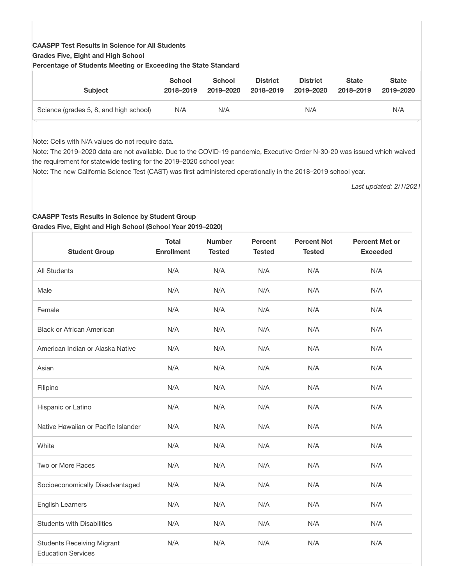## CAASPP Test Results in Science for All Students

#### Grades Five, Eight and High School

| ו טוסטוונטאַט טו טנממטוונט וווטטעווואַן טו באטטטמוואַ עוט טנמנט טנמומטומ |                            |                            |                              |                              |                           |                           |
|--------------------------------------------------------------------------|----------------------------|----------------------------|------------------------------|------------------------------|---------------------------|---------------------------|
| <b>Subject</b>                                                           | <b>School</b><br>2018-2019 | <b>School</b><br>2019-2020 | <b>District</b><br>2018-2019 | <b>District</b><br>2019-2020 | <b>State</b><br>2018-2019 | <b>State</b><br>2019-2020 |
| Science (grades 5, 8, and high school)                                   | N/A                        | N/A                        |                              | N/A                          |                           | N/A                       |

Percentage of Students Meeting or Exceeding the State Standard

Note: Cells with N/A values do not require data.

Note: The 2019–2020 data are not available. Due to the COVID-19 pandemic, Executive Order N-30-20 was issued which waived the requirement for statewide testing for the 2019–2020 school year.

Note: The new California Science Test (CAST) was first administered operationally in the 2018–2019 school year.

Last updated: 2/1/2021

#### CAASPP Tests Results in Science by Student Group Grades Five, Eight and High School (School Year 2019–2020)

| <b>Student Group</b>                                           | <b>Total</b><br><b>Enrollment</b> | <b>Number</b><br><b>Tested</b> | <b>Percent</b><br><b>Tested</b> | <b>Percent Not</b><br><b>Tested</b> | <b>Percent Met or</b><br><b>Exceeded</b> |
|----------------------------------------------------------------|-----------------------------------|--------------------------------|---------------------------------|-------------------------------------|------------------------------------------|
| <b>All Students</b>                                            | N/A                               | N/A                            | N/A                             | N/A                                 | N/A                                      |
| Male                                                           | N/A                               | N/A                            | N/A                             | N/A                                 | N/A                                      |
| Female                                                         | N/A                               | N/A                            | N/A                             | N/A                                 | N/A                                      |
| <b>Black or African American</b>                               | N/A                               | N/A                            | N/A                             | N/A                                 | N/A                                      |
| American Indian or Alaska Native                               | N/A                               | N/A                            | N/A                             | N/A                                 | N/A                                      |
| Asian                                                          | N/A                               | N/A                            | N/A                             | N/A                                 | N/A                                      |
| Filipino                                                       | N/A                               | N/A                            | N/A                             | N/A                                 | N/A                                      |
| Hispanic or Latino                                             | N/A                               | N/A                            | N/A                             | N/A                                 | N/A                                      |
| Native Hawaiian or Pacific Islander                            | N/A                               | N/A                            | N/A                             | N/A                                 | N/A                                      |
| White                                                          | N/A                               | N/A                            | N/A                             | N/A                                 | N/A                                      |
| Two or More Races                                              | N/A                               | N/A                            | N/A                             | N/A                                 | N/A                                      |
| Socioeconomically Disadvantaged                                | N/A                               | N/A                            | N/A                             | N/A                                 | N/A                                      |
| <b>English Learners</b>                                        | N/A                               | N/A                            | N/A                             | N/A                                 | N/A                                      |
| <b>Students with Disabilities</b>                              | N/A                               | N/A                            | N/A                             | N/A                                 | N/A                                      |
| <b>Students Receiving Migrant</b><br><b>Education Services</b> | N/A                               | N/A                            | N/A                             | N/A                                 | N/A                                      |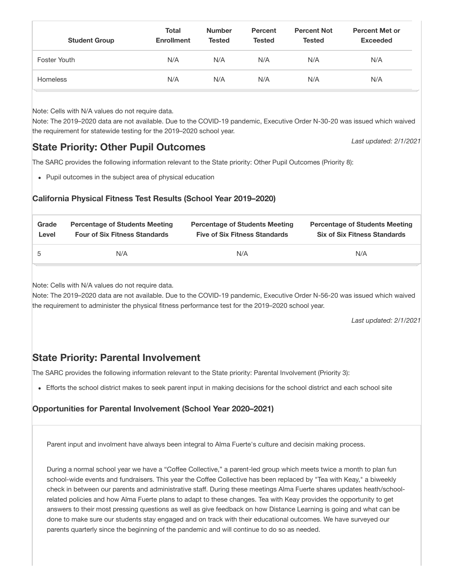| <b>Student Group</b>                                                                                                                                                                                                                                                                                                                                                                                                                                                                                           | Total<br><b>Enrollment</b> | <b>Number</b><br><b>Tested</b> | <b>Percent</b><br><b>Tested</b>                                               | <b>Percent Not</b><br><b>Tested</b> | <b>Percent Met or</b><br><b>Exceeded</b>                                     |  |  |  |  |
|----------------------------------------------------------------------------------------------------------------------------------------------------------------------------------------------------------------------------------------------------------------------------------------------------------------------------------------------------------------------------------------------------------------------------------------------------------------------------------------------------------------|----------------------------|--------------------------------|-------------------------------------------------------------------------------|-------------------------------------|------------------------------------------------------------------------------|--|--|--|--|
| Foster Youth                                                                                                                                                                                                                                                                                                                                                                                                                                                                                                   | N/A                        | N/A                            | N/A                                                                           | N/A                                 | N/A                                                                          |  |  |  |  |
| <b>Homeless</b>                                                                                                                                                                                                                                                                                                                                                                                                                                                                                                | N/A                        | N/A                            | N/A                                                                           | N/A                                 | N/A                                                                          |  |  |  |  |
| Note: Cells with N/A values do not require data.<br>Note: The 2019-2020 data are not available. Due to the COVID-19 pandemic, Executive Order N-30-20 was issued which waived<br>the requirement for statewide testing for the 2019–2020 school year.<br>Last updated: 2/1/2021<br><b>State Priority: Other Pupil Outcomes</b><br>The SARC provides the following information relevant to the State priority: Other Pupil Outcomes (Priority 8):<br>• Pupil outcomes in the subject area of physical education |                            |                                |                                                                               |                                     |                                                                              |  |  |  |  |
| California Physical Fitness Test Results (School Year 2019–2020)                                                                                                                                                                                                                                                                                                                                                                                                                                               |                            |                                |                                                                               |                                     |                                                                              |  |  |  |  |
| Grade<br><b>Percentage of Students Meeting</b><br><b>Four of Six Fitness Standards</b><br>Level                                                                                                                                                                                                                                                                                                                                                                                                                |                            |                                | <b>Percentage of Students Meeting</b><br><b>Five of Six Fitness Standards</b> |                                     | <b>Percentage of Students Meeting</b><br><b>Six of Six Fitness Standards</b> |  |  |  |  |

Note: Cells with N/A values do not require data.

Note: The 2019–2020 data are not available. Due to the COVID-19 pandemic, Executive Order N-56-20 was issued which waived the requirement to administer the physical fitness performance test for the 2019–2020 school year.

5 N/A N/A N/A

Last updated: 2/1/2021

# State Priority: Parental Involvement

The SARC provides the following information relevant to the State priority: Parental Involvement (Priority 3):

Efforts the school district makes to seek parent input in making decisions for the school district and each school site

## Opportunities for Parental Involvement (School Year 2020–2021)

Parent input and involment have always been integral to Alma Fuerte's culture and decisin making process.

During a normal school year we have a "Coffee Collective," a parent-led group which meets twice a month to plan fun school-wide events and fundraisers. This year the Coffee Collective has been replaced by "Tea with Keay," a biweekly check in between our parents and administrative staff. During these meetings Alma Fuerte shares updates heath/schoolrelated policies and how Alma Fuerte plans to adapt to these changes. Tea with Keay provides the opportunity to get answers to their most pressing questions as well as give feedback on how Distance Learning is going and what can be done to make sure our students stay engaged and on track with their educational outcomes. We have surveyed our parents quarterly since the beginning of the pandemic and will continue to do so as needed.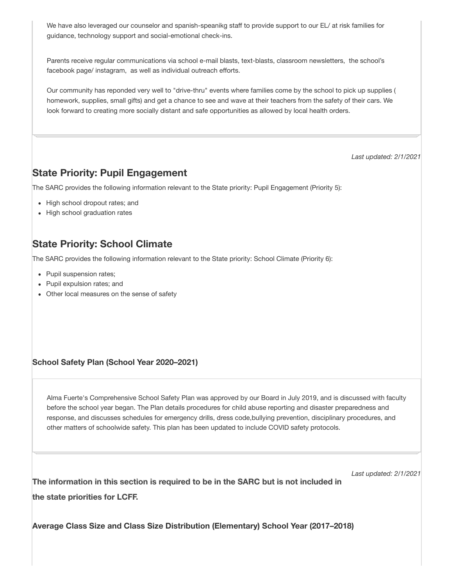We have also leveraged our counselor and spanish-speanikg staff to provide support to our EL/ at risk families for guidance, technology support and social-emotional check-ins.

Parents receive regular communications via school e-mail blasts, text-blasts, classroom newsletters, the school's facebook page/ instagram, as well as individual outreach efforts.

Our community has reponded very well to "drive-thru" events where families come by the school to pick up supplies ( homework, supplies, small gifts) and get a chance to see and wave at their teachers from the safety of their cars. We look forward to creating more socially distant and safe opportunities as allowed by local health orders.

Last updated: 2/1/2021

Last updated: 2/1/2021

## State Priority: Pupil Engagement

The SARC provides the following information relevant to the State priority: Pupil Engagement (Priority 5):

- High school dropout rates; and
- High school graduation rates

# State Priority: School Climate

The SARC provides the following information relevant to the State priority: School Climate (Priority 6):

- Pupil suspension rates;
- Pupil expulsion rates; and
- Other local measures on the sense of safety

#### School Safety Plan (School Year 2020–2021)

Alma Fuerte's Comprehensive School Safety Plan was approved by our Board in July 2019, and is discussed with faculty before the school year began. The Plan details procedures for child abuse reporting and disaster preparedness and response, and discusses schedules for emergency drills, dress code,bullying prevention, disciplinary procedures, and other matters of schoolwide safety. This plan has been updated to include COVID safety protocols.

The information in this section is required to be in the SARC but is not included in the state priorities for LCFF.

Average Class Size and Class Size Distribution (Elementary) School Year (2017–2018)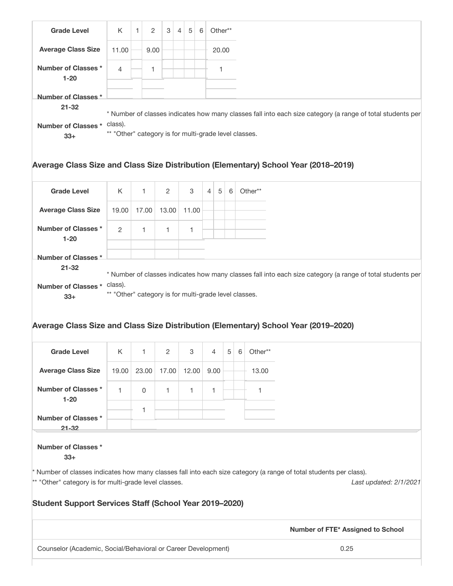| <b>Grade Level</b>                                                                                                                                                                                                                                                            | K                                                             | $\mathbf{1}$<br>2 | 3     | $\overline{4}$ | 5     | 6 |        | Other** |         |                                                                                                            |  |
|-------------------------------------------------------------------------------------------------------------------------------------------------------------------------------------------------------------------------------------------------------------------------------|---------------------------------------------------------------|-------------------|-------|----------------|-------|---|--------|---------|---------|------------------------------------------------------------------------------------------------------------|--|
| <b>Average Class Size</b>                                                                                                                                                                                                                                                     | 11.00                                                         | 9.00              |       |                |       |   |        | 20.00   |         |                                                                                                            |  |
| <b>Number of Classes *</b><br>$1 - 20$                                                                                                                                                                                                                                        | 4                                                             | 1                 |       |                |       |   |        | 1       |         |                                                                                                            |  |
| Number of Classes *                                                                                                                                                                                                                                                           |                                                               |                   |       |                |       |   |        |         |         |                                                                                                            |  |
| $21 - 32$                                                                                                                                                                                                                                                                     |                                                               |                   |       |                |       |   |        |         |         |                                                                                                            |  |
|                                                                                                                                                                                                                                                                               |                                                               |                   |       |                |       |   |        |         |         | * Number of classes indicates how many classes fall into each size category (a range of total students per |  |
| Number of Classes * class).<br>$33+$                                                                                                                                                                                                                                          | ** "Other" category is for multi-grade level classes.         |                   |       |                |       |   |        |         |         |                                                                                                            |  |
|                                                                                                                                                                                                                                                                               |                                                               |                   |       |                |       |   |        |         |         | Average Class Size and Class Size Distribution (Elementary) School Year (2018–2019)                        |  |
| <b>Grade Level</b>                                                                                                                                                                                                                                                            | K                                                             | $\mathbf{1}$      | 2     |                | 3     |   | 5<br>4 | 6       |         | Other**                                                                                                    |  |
| <b>Average Class Size</b>                                                                                                                                                                                                                                                     | 19.00                                                         | 17.00             | 13.00 |                | 11.00 |   |        |         |         |                                                                                                            |  |
| <b>Number of Classes*</b><br>$1 - 20$                                                                                                                                                                                                                                         | $\mathbf{2}$                                                  | $\mathbf{1}$      | 1     |                | 1     |   |        |         |         |                                                                                                            |  |
| Number of Classes *<br>$21 - 32$                                                                                                                                                                                                                                              |                                                               |                   |       |                |       |   |        |         |         |                                                                                                            |  |
| Number of Classes * class).<br>$33+$                                                                                                                                                                                                                                          | ** "Other" category is for multi-grade level classes.         |                   |       |                |       |   |        |         |         | * Number of classes indicates how many classes fall into each size category (a range of total students per |  |
|                                                                                                                                                                                                                                                                               |                                                               |                   |       |                |       |   |        |         |         | Average Class Size and Class Size Distribution (Elementary) School Year (2019–2020)                        |  |
| <b>Grade Level</b>                                                                                                                                                                                                                                                            | Κ                                                             | 1                 | 2     |                | 3     |   | 4      | 5       | $\,6\,$ | Other**                                                                                                    |  |
| <b>Average Class Size</b>                                                                                                                                                                                                                                                     | 19.00                                                         | 23.00             | 17.00 |                | 12.00 |   | 9.00   |         |         | 13.00                                                                                                      |  |
| <b>Number of Classes *</b><br>$1 - 20$                                                                                                                                                                                                                                        | 1                                                             | 0                 | 1     |                | 1     |   | 1.     |         |         | 1                                                                                                          |  |
| Number of Classes *                                                                                                                                                                                                                                                           |                                                               | 1                 |       |                |       |   |        |         |         |                                                                                                            |  |
| $21 - 32$<br>Number of Classes *                                                                                                                                                                                                                                              |                                                               |                   |       |                |       |   |        |         |         |                                                                                                            |  |
| $33+$<br>Number of classes indicates how many classes fall into each size category (a range of total students per class).<br>** "Other" category is for multi-grade level classes.<br>Last updated: 2/1/2021<br><b>Student Support Services Staff (School Year 2019-2020)</b> |                                                               |                   |       |                |       |   |        |         |         |                                                                                                            |  |
|                                                                                                                                                                                                                                                                               |                                                               |                   |       |                |       |   |        |         |         | Number of FTE* Assigned to School                                                                          |  |
|                                                                                                                                                                                                                                                                               |                                                               |                   |       |                |       |   |        |         |         | 0.25                                                                                                       |  |
|                                                                                                                                                                                                                                                                               | Counselor (Academic, Social/Behavioral or Career Development) |                   |       |                |       |   |        |         |         |                                                                                                            |  |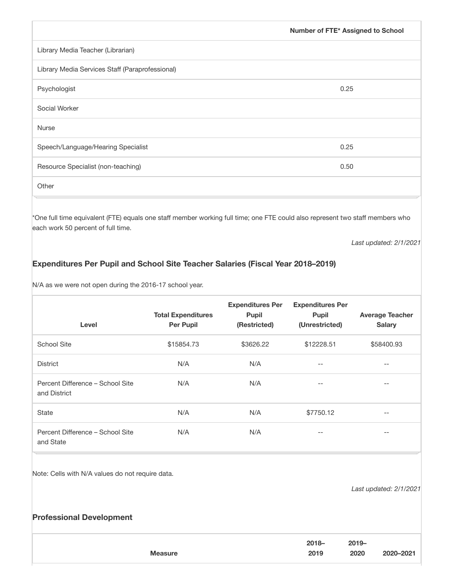|                                                 | Number of FTE* Assigned to School |
|-------------------------------------------------|-----------------------------------|
| Library Media Teacher (Librarian)               |                                   |
| Library Media Services Staff (Paraprofessional) |                                   |
| Psychologist                                    | 0.25                              |
| Social Worker                                   |                                   |
| <b>Nurse</b>                                    |                                   |
| Speech/Language/Hearing Specialist              | 0.25                              |
| Resource Specialist (non-teaching)              | 0.50                              |
| Other                                           |                                   |

\*One full time equivalent (FTE) equals one staff member working full time; one FTE could also represent two staff members who each work 50 percent of full time.

Last updated: 2/1/2021

### Expenditures Per Pupil and School Site Teacher Salaries (Fiscal Year 2018–2019)

N/A as we were not open during the 2016-17 school year.

| Level                                            | <b>Total Expenditures</b><br><b>Per Pupil</b> | <b>Expenditures Per</b><br><b>Pupil</b><br>(Restricted) | <b>Expenditures Per</b><br>Pupil<br>(Unrestricted) | <b>Average Teacher</b><br><b>Salary</b> |
|--------------------------------------------------|-----------------------------------------------|---------------------------------------------------------|----------------------------------------------------|-----------------------------------------|
| <b>School Site</b>                               | \$15854.73                                    | \$3626.22                                               | \$12228.51                                         | \$58400.93                              |
| <b>District</b>                                  | N/A                                           | N/A                                                     | $- -$                                              | $\qquad \qquad -$                       |
| Percent Difference - School Site<br>and District | N/A                                           | N/A                                                     | $- -$                                              | $- -$                                   |
| State                                            | N/A                                           | N/A                                                     | \$7750.12                                          | $- -$                                   |
| Percent Difference - School Site<br>and State    | N/A                                           | N/A                                                     | $- -$                                              | $- -$                                   |

Note: Cells with N/A values do not require data.

Last updated: 2/1/2021

### Professional Development

| $2018 -$<br>$2019 -$<br>2020-2021<br>2020<br>2019<br><b>Measure</b> |  |
|---------------------------------------------------------------------|--|
|---------------------------------------------------------------------|--|